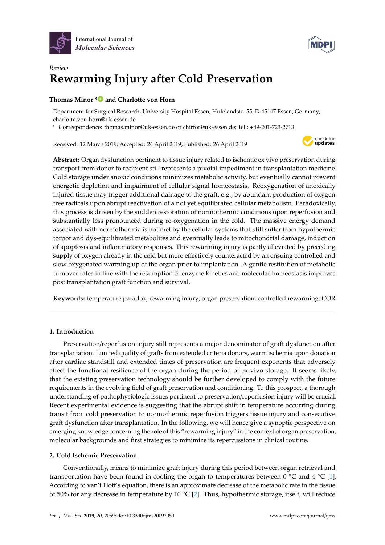



# *Review* **Rewarming Injury after Cold Preservation**

## **Thomas Minor [\\*](https://orcid.org/0000-0002-7124-3590) and Charlotte von Horn**

Department for Surgical Research, University Hospital Essen, Hufelandstr. 55, D-45147 Essen, Germany; charlotte.von-horn@uk-essen.de

**\*** Correspondence: thomas.minor@uk-essen.de or chirfor@uk-essen.de; Tel.: +49-201-723-2713

Received: 12 March 2019; Accepted: 24 April 2019; Published: 26 April 2019



**Abstract:** Organ dysfunction pertinent to tissue injury related to ischemic ex vivo preservation during transport from donor to recipient still represents a pivotal impediment in transplantation medicine. Cold storage under anoxic conditions minimizes metabolic activity, but eventually cannot prevent energetic depletion and impairment of cellular signal homeostasis. Reoxygenation of anoxically injured tissue may trigger additional damage to the graft, e.g., by abundant production of oxygen free radicals upon abrupt reactivation of a not yet equilibrated cellular metabolism. Paradoxically, this process is driven by the sudden restoration of normothermic conditions upon reperfusion and substantially less pronounced during re-oxygenation in the cold. The massive energy demand associated with normothermia is not met by the cellular systems that still suffer from hypothermic torpor and dys-equilibrated metabolites and eventually leads to mitochondrial damage, induction of apoptosis and inflammatory responses. This rewarming injury is partly alleviated by preceding supply of oxygen already in the cold but more effectively counteracted by an ensuing controlled and slow oxygenated warming up of the organ prior to implantation. A gentle restitution of metabolic turnover rates in line with the resumption of enzyme kinetics and molecular homeostasis improves post transplantation graft function and survival.

**Keywords:** temperature paradox; rewarming injury; organ preservation; controlled rewarming; COR

## **1. Introduction**

Preservation/reperfusion injury still represents a major denominator of graft dysfunction after transplantation. Limited quality of grafts from extended criteria donors, warm ischemia upon donation after cardiac standstill and extended times of preservation are frequent exponents that adversely affect the functional resilience of the organ during the period of ex vivo storage. It seems likely, that the existing preservation technology should be further developed to comply with the future requirements in the evolving field of graft preservation and conditioning. To this prospect, a thorough understanding of pathophysiologic issues pertinent to preservation/reperfusion injury will be crucial. Recent experimental evidence is suggesting that the abrupt shift in temperature occurring during transit from cold preservation to normothermic reperfusion triggers tissue injury and consecutive graft dysfunction after transplantation. In the following, we will hence give a synoptic perspective on emerging knowledge concerning the role of this "rewarming injury" in the context of organ preservation, molecular backgrounds and first strategies to minimize its repercussions in clinical routine.

## **2. Cold Ischemic Preservation**

Conventionally, means to minimize graft injury during this period between organ retrieval and transportation have been found in cooling the organ to temperatures between  $0 °C$  and  $4 °C$  [\[1\]](#page-5-0). According to van't Hoff's equation, there is an approximate decrease of the metabolic rate in the tissue of 50% for any decrease in temperature by 10 ◦C [\[2\]](#page-6-0). Thus, hypothermic storage, itself, will reduce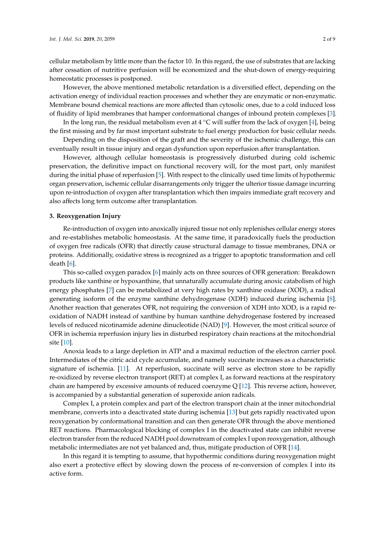cellular metabolism by little more than the factor 10. In this regard, the use of substrates that are lacking after cessation of nutritive perfusion will be economized and the shut-down of energy-requiring homeostatic processes is postponed.

However, the above mentioned metabolic retardation is a diversified effect, depending on the activation energy of individual reaction processes and whether they are enzymatic or non-enzymatic. Membrane bound chemical reactions are more affected than cytosolic ones, due to a cold induced loss of fluidity of lipid membranes that hamper conformational changes of inbound protein complexes [\[3\]](#page-6-1).

In the long run, the residual metabolism even at  $4 °C$  will suffer from the lack of oxygen [\[4\]](#page-6-2), being the first missing and by far most important substrate to fuel energy production for basic cellular needs.

Depending on the disposition of the graft and the severity of the ischemic challenge, this can eventually result in tissue injury and organ dysfunction upon reperfusion after transplantation.

However, although cellular homeostasis is progressively disturbed during cold ischemic preservation, the definitive impact on functional recovery will, for the most part, only manifest during the initial phase of reperfusion [\[5\]](#page-6-3). With respect to the clinically used time limits of hypothermic organ preservation, ischemic cellular disarrangements only trigger the ulterior tissue damage incurring upon re-introduction of oxygen after transplantation which then impairs immediate graft recovery and also affects long term outcome after transplantation.

### **3. Reoxygenation Injury**

Re-introduction of oxygen into anoxically injured tissue not only replenishes cellular energy stores and re-establishes metabolic homeostasis. At the same time, it paradoxically fuels the production of oxygen free radicals (OFR) that directly cause structural damage to tissue membranes, DNA or proteins. Additionally, oxidative stress is recognized as a trigger to apoptotic transformation and cell death  $[6]$ .

This so-called oxygen paradox [\[6\]](#page-6-4) mainly acts on three sources of OFR generation: Breakdown products like xanthine or hypoxanthine, that unnaturally accumulate during anoxic catabolism of high energy phosphates [\[7\]](#page-6-5) can be metabolized at very high rates by xanthine oxidase (XOD), a radical generating isoform of the enzyme xanthine dehydrogenase (XDH) induced during ischemia [\[8\]](#page-6-6). Another reaction that generates OFR, not requiring the conversion of XDH into XOD, is a rapid reoxidation of NADH instead of xanthine by human xanthine dehydrogenase fostered by increased levels of reduced nicotinamide adenine dinucleotide (NAD) [\[9\]](#page-6-7). However, the most critical source of OFR in ischemia reperfusion injury lies in disturbed respiratory chain reactions at the mitochondrial site [\[10\]](#page-6-8).

Anoxia leads to a large depletion in ATP and a maximal reduction of the electron carrier pool. Intermediates of the citric acid cycle accumulate, and namely succinate increases as a characteristic signature of ischemia. [\[11\]](#page-6-9). At reperfusion, succinate will serve as electron store to be rapidly re-oxidized by reverse electron transport (RET) at complex I, as forward reactions at the respiratory chain are hampered by excessive amounts of reduced coenzyme Q [\[12\]](#page-6-10). This reverse action, however, is accompanied by a substantial generation of superoxide anion radicals.

Complex I, a protein complex and part of the electron transport chain at the inner mitochondrial membrane, converts into a deactivated state during ischemia [\[13\]](#page-6-11) but gets rapidly reactivated upon reoxygenation by conformational transition and can then generate OFR through the above mentioned RET reactions. Pharmacological blocking of complex I in the deactivated state can inhibit reverse electron transfer from the reduced NADH pool downstream of complex I upon reoxygenation, although metabolic intermediates are not yet balanced and, thus, mitigate production of OFR [\[14\]](#page-6-12).

In this regard it is tempting to assume, that hypothermic conditions during reoxygenation might also exert a protective effect by slowing down the process of re-conversion of complex I into its active form.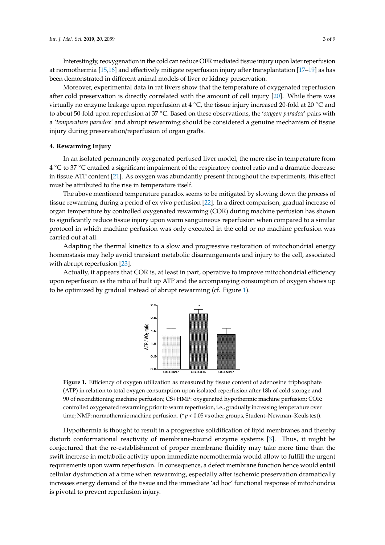Interestingly, reoxygenation in the cold can reduce OFR mediated tissue injury upon later reperfusion at normothermia [\[15](#page-6-13)[,16\]](#page-6-14) and effectively mitigate reperfusion injury after transplantation [\[17](#page-6-15)[–19\]](#page-6-16) as has been demonstrated in different animal models of liver or kidney preservation.

Moreover, experimental data in rat livers show that the temperature of oxygenated reperfusion after cold preservation is directly correlated with the amount of cell injury [\[20\]](#page-6-17). While there was virtually no enzyme leakage upon reperfusion at 4 °C, the tissue injury increased 20-fold at 20 °C and to about 50-fold upon reperfusion at 37 °C. Based on these observations, the 'oxygen paradox' pairs with a 'temperature paradox' and abrupt rewarming should be considered a genuine mechanism of tissue injury during preservation/reperfusion of organ grafts. izyme leakage upon repertusion at  $4^\circ$  C, the ussue hijury increased 20-lold a reperfusion at normothermia [15,16] and effectively mitigate reperfusion injury after transplantation

#### **4. Rewarming Injury cold preservation is directly correlated with the amount of cell injury correlated with the**

In an isolated permanently oxygenated perfused liver model, the mere rise in temperature from <sup>4</sup> °C to 37 °C entailed a significant impairment of the respiratory control ratio and a dramatic decrease in tissue ATP content [\[21\]](#page-6-18). As oxygen was abundantly present throughout the experiments, this effect must be attributed to the rise in temperature itself. **4. Rewarming Injury** 

The above mentioned temperature paradox seems to be mitigated by slowing down the process of tissue rewarming during a period of ex vivo perfusion [\[22\]](#page-6-19). In a direct comparison, gradual increase of organ temperature by controlled oxygenated rewarming (COR) during machine perfusion has shown to significantly reduce tissue injury upon warm sanguineous reperfusion when compared to a similar protocol in which machine perfusion was only executed in the cold or no machine perfusion was carried out at all. tute by controlled oxygenated tewarning (CC increase of organisation by controlled oxygenation  $\mathbf{I}$  $p_{\text{min}}$  reduce tissue in  $q_{\text{min}}$  reduce tissue in  $q_{\text{min}}$  reperfusion warm sanguineous reperfusion when when when we have  $q_{\text{min}}$  reperfusion when we have  $q_{\text{min}}$  reperfusion when we have  $q_{\text{min}}$  reperfusion w

Adapting the thermal kinetics to a slow and progressive restoration of mitochondrial energy homeostasis may help avoid transient metabolic disarrangements and injury to the cell, associated with abrupt reperfusion  $[23]$ .  $\alpha$  show and progressive restoration of  $\alpha$  slow and progressive restoration of mitochondrial energy  $\alpha$ 

<span id="page-2-0"></span>Actually, it appears that COR is, at least in part, operative to improve mitochondrial efficiency upon reperfusion as the ratio of built up ATP and the accompanying consumption of oxygen shows up to be optimized by gradual instead of abrupt rewarming (cf. Figure [1\)](#page-2-0). up to be optimized by gradual instead of abrupt rewarming (cf. Figure 1).  $\mathbf{u}$  ratio of  $\mathbf{u}$  and the accompanying consumption of  $\mathbf{u}$  and  $\mathbf{u}$  and  $\mathbf{u}$  and  $\mathbf{u}$  and  $\mathbf{u}$  and  $\mathbf{u}$  and  $\mathbf{u}$  and  $\mathbf{u}$  and  $\mathbf{u}$  and  $\mathbf{u}$  and  $\mathbf{u}$  and  $\mathbf{u}$  and  $\$ 



**Figure 1.** Efficiency of oxygen utilization as measured by tissue content of adenosine triphosphate **Figure 1.** Efficiency of oxygen utilization as measured by tissue content of adenosine triphosphate (ATP) in relation to total oxygen consumption upon isolated reperfusion after 18h of cold storage (ATP) in relation to total oxygen consumption upon isolated reperfusion after 18h of cold storage and and  $\frac{1}{20}$  of reconditioning machine perfusion; CS+HMP: oxygenated hypothermic machine perfusion; CS+HMP: o 90 of reconditioning machine perfusion; CS+HMP: oxygenated hypothermic machine perfusion; COR: controlled oxygenated rewarming prior to warm reperfusion, i.e., gradually increasing temperature over time; NMP: normothermic machine perfusion. (\* *p* < 0.05 vs other groups, Student–Newman–Keuls test).

Hypothermia is thought to result in a progressive solidification of lipid membranes and thereby disturb conformational reactivity of membrane-bound enzyme systems [\[3\]](#page-6-1). Thus, it might be conjectured that the re-establishment of proper membrane fluidity may take more time than the swift increase in metabolic activity upon immediate normothermia would allow to fulfill the urgent requirements upon warm reperfusion. In consequence, a defect membrane function hence would entail cellular dysfunction at a time when rewarming, especially after ischemic preservation dramatically increases energy demand of the tissue and the immediate 'ad hoc' functional response of mitochondria is pivotal to prevent reperfusion injury.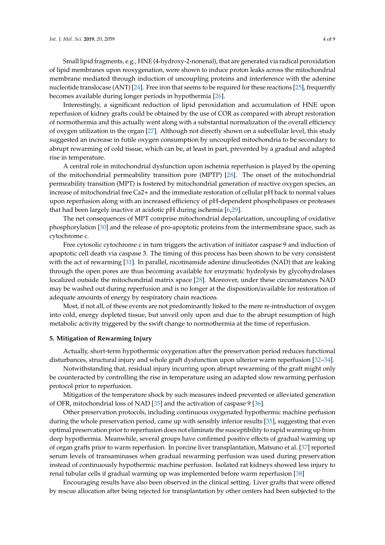Small lipid fragments, e.g., HNE (4-hydroxy-2-nonenal), that are generated via radical peroxidation of lipid membranes upon reoxygenation, were shown to induce proton leaks across the mitochondrial membrane mediated through induction of uncoupling proteins and interference with the adenine nucleotide translocase (ANT) [\[24\]](#page-6-21). Free iron that seems to be required for these reactions [\[25\]](#page-7-0), frequently becomes available during longer periods in hypothermia [\[26\]](#page-7-1).

Interestingly, a significant reduction of lipid peroxidation and accumulation of HNE upon reperfusion of kidney grafts could be obtained by the use of COR as compared with abrupt restoration of normothermia and this actually went along with a substantial normalization of the overall efficiency of oxygen utilization in the organ [\[27\]](#page-7-2). Although not directly shown on a subcellular level, this study suggested an increase in futile oxygen consumption by uncoupled mitochondria to be secondary to abrupt rewarming of cold tissue, which can be, at least in part, prevented by a gradual and adapted rise in temperature.

A central role in mitochondrial dysfunction upon ischemia reperfusion is played by the opening of the mitochondrial permeability transition pore (MPTP) [\[28\]](#page-7-3). The onset of the mitochondrial permeability transition (MPT) is fostered by mitochondrial generation of reactive oxygen species, an increase of mitochondrial free Ca2+ and the immediate restoration of cellular pH back to normal values upon reperfusion along with an increased efficiency of pH-dependent phospholipases or proteases that had been largely inactive at acidotic pH during ischemia [\[6,](#page-6-4)[29\]](#page-7-4).

The net consequences of MPT comprise mitochondrial depolarization, uncoupling of oxidative phosphorylation [\[30\]](#page-7-5) and the release of pro-apoptotic proteins from the intermembrane space, such as cytochrome c.

Free cytosolic cytochrome c in turn triggers the activation of initiator caspase 9 and induction of apoptotic cell death via caspase 3. The timing of this process has been shown to be very consistent with the act of rewarming [\[31\]](#page-7-6). In parallel, nicotinamide adenine dinucleotides (NAD) that are leaking through the open pores are thus becoming available for enzymatic hydrolysis by glycohydrolases localized outside the mitochondrial matrix space [\[28\]](#page-7-3). Moreover, under these circumstances NAD may be washed out during reperfusion and is no longer at the disposition/available for restoration of adequate amounts of energy by respiratory chain reactions.

Most, if not all, of these events are not predominantly linked to the mere re-introduction of oxygen into cold, energy depleted tissue, but unveil only upon and due to the abrupt resumption of high metabolic activity triggered by the swift change to normothermia at the time of reperfusion.

#### **5. Mitigation of Rewarming Injury**

Actually, short-term hypothermic oxygenation after the preservation period reduces functional disturbances, structural injury and whole graft dysfunction upon ulterior warm reperfusion [\[32](#page-7-7)[–34\]](#page-7-8).

Notwithstanding that, residual injury incurring upon abrupt rewarming of the graft might only be counteracted by controlling the rise in temperature using an adapted slow rewarming perfusion protocol prior to reperfusion.

Mitigation of the temperature shock by such measures indeed prevented or alleviated generation of OFR, mitochondrial loss of NAD [\[35\]](#page-7-9) and the activation of caspase 9 [\[36\]](#page-7-10).

Other preservation protocols, including continuous oxygenated hypothermic machine perfusion during the whole preservation period, came up with sensibly inferior results [\[35\]](#page-7-9), suggesting that even optimal preservation prior to reperfusion does not eliminate the susceptibility to rapid warming up from deep hypothermia. Meanwhile, several groups have confirmed positive effects of gradual warming up of organ grafts prior to warm reperfusion. In porcine liver transplantation, Matsuno et al. [\[37\]](#page-7-11) reported serum levels of transaminases when gradual rewarming perfusion was used during preservation instead of continuously hypothermic machine perfusion. Isolated rat kidneys showed less injury to renal tubular cells if gradual warming up was implemented before warm reperfusion [\[38\]](#page-7-12)

Encouraging results have also been observed in the clinical setting. Liver grafts that were offered by rescue allocation after being rejected for transplantation by other centers had been subjected to the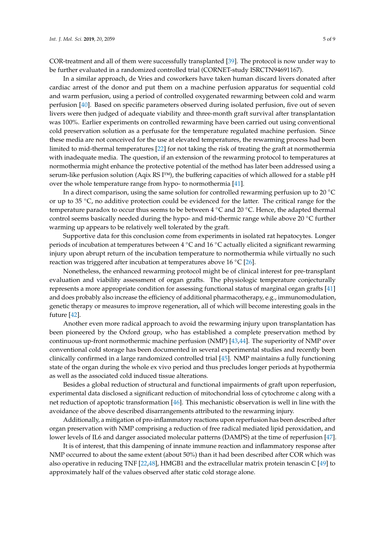COR-treatment and all of them were successfully transplanted [\[39\]](#page-7-13). The protocol is now under way to be further evaluated in a randomized controlled trial (CORNET-study ISRCTN94691167).

In a similar approach, de Vries and coworkers have taken human discard livers donated after cardiac arrest of the donor and put them on a machine perfusion apparatus for sequential cold and warm perfusion, using a period of controlled oxygenated rewarming between cold and warm perfusion [\[40\]](#page-7-14). Based on specific parameters observed during isolated perfusion, five out of seven livers were then judged of adequate viability and three-month graft survival after transplantation was 100%. Earlier experiments on controlled rewarming have been carried out using conventional cold preservation solution as a perfusate for the temperature regulated machine perfusion. Since these media are not conceived for the use at elevated temperatures, the rewarming process had been limited to mid-thermal temperatures [\[22\]](#page-6-19) for not taking the risk of treating the graft at normothermia with inadequate media. The question, if an extension of the rewarming protocol to temperatures at normothermia might enhance the protective potential of the method has later been addressed using a serum-like perfusion solution (Aqix RS I™), the buffering capacities of which allowed for a stable pH over the whole temperature range from hypo- to normothermia [\[41\]](#page-7-15).

In a direct comparison, using the same solution for controlled rewarming perfusion up to 20 ◦C or up to 35 ◦C, no additive protection could be evidenced for the latter. The critical range for the temperature paradox to occur thus seems to be between 4 ◦C and 20 ◦C. Hence, the adapted thermal control seems basically needed during the hypo- and mid-thermic range while above 20 ◦C further warming up appears to be relatively well tolerated by the graft.

Supportive data for this conclusion come from experiments in isolated rat hepatocytes. Longer periods of incubation at temperatures between 4 ◦C and 16 ◦C actually elicited a significant rewarming injury upon abrupt return of the incubation temperature to normothermia while virtually no such reaction was triggered after incubation at temperatures above 16  $°C$  [\[26\]](#page-7-1).

Nonetheless, the enhanced rewarming protocol might be of clinical interest for pre-transplant evaluation and viability assessment of organ grafts. The physiologic temperature conjecturally represents a more appropriate condition for assessing functional status of marginal organ grafts [\[41\]](#page-7-15) and does probably also increase the efficiency of additional pharmacotherapy, e.g., immunomodulation, genetic therapy or measures to improve regeneration, all of which will become interesting goals in the future [\[42\]](#page-7-16).

Another even more radical approach to avoid the rewarming injury upon transplantation has been pioneered by the Oxford group, who has established a complete preservation method by continuous up-front normothermic machine perfusion (NMP) [\[43](#page-8-0)[,44\]](#page-8-1). The superiority of NMP over conventional cold storage has been documented in several experimental studies and recently been clinically confirmed in a large randomized controlled trial [\[45\]](#page-8-2). NMP maintains a fully functioning state of the organ during the whole ex vivo period and thus precludes longer periods at hypothermia as well as the associated cold induced tissue alterations.

Besides a global reduction of structural and functional impairments of graft upon reperfusion, experimental data disclosed a significant reduction of mitochondrial loss of cytochrome c along with a net reduction of apoptotic transformation [\[46\]](#page-8-3). This mechanistic observation is well in line with the avoidance of the above described disarrangements attributed to the rewarming injury.

Additionally, a mitigation of pro-inflammatory reactions upon reperfusion has been described after organ preservation with NMP comprising a reduction of free radical mediated lipid peroxidation, and lower levels of IL6 and danger associated molecular patterns (DAMPS) at the time of reperfusion [\[47\]](#page-8-4).

It is of interest, that this dampening of innate immune reaction and inflammatory response after NMP occurred to about the same extent (about 50%) than it had been described after COR which was also operative in reducing TNF [\[22,](#page-6-19)[48\]](#page-8-5), HMGB1 and the extracellular matrix protein tenascin C [\[49\]](#page-8-6) to approximately half of the values observed after static cold storage alone.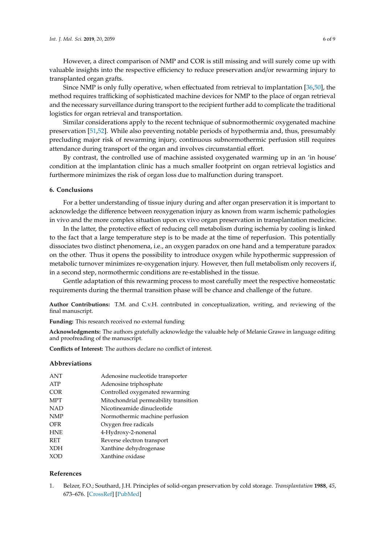However, a direct comparison of NMP and COR is still missing and will surely come up with valuable insights into the respective efficiency to reduce preservation and/or rewarming injury to transplanted organ grafts.

Since NMP is only fully operative, when effectuated from retrieval to implantation [\[36,](#page-7-10)[50\]](#page-8-7), the method requires trafficking of sophisticated machine devices for NMP to the place of organ retrieval and the necessary surveillance during transport to the recipient further add to complicate the traditional logistics for organ retrieval and transportation.

Similar considerations apply to the recent technique of subnormothermic oxygenated machine preservation [\[51](#page-8-8)[,52\]](#page-8-9). While also preventing notable periods of hypothermia and, thus, presumably precluding major risk of rewarming injury, continuous subnormothermic perfusion still requires attendance during transport of the organ and involves circumstantial effort.

By contrast, the controlled use of machine assisted oxygenated warming up in an 'in house' condition at the implantation clinic has a much smaller footprint on organ retrieval logistics and furthermore minimizes the risk of organ loss due to malfunction during transport.

#### **6. Conclusions**

For a better understanding of tissue injury during and after organ preservation it is important to acknowledge the difference between reoxygenation injury as known from warm ischemic pathologies in vivo and the more complex situation upon ex vivo organ preservation in transplantation medicine.

In the latter, the protective effect of reducing cell metabolism during ischemia by cooling is linked to the fact that a large temperature step is to be made at the time of reperfusion. This potentially dissociates two distinct phenomena, i.e., an oxygen paradox on one hand and a temperature paradox on the other. Thus it opens the possibility to introduce oxygen while hypothermic suppression of metabolic turnover minimizes re-oxygenation injury. However, then full metabolism only recovers if, in a second step, normothermic conditions are re-established in the tissue.

Gentle adaptation of this rewarming process to most carefully meet the respective homeostatic requirements during the thermal transition phase will be chance and challenge of the future.

**Author Contributions:** T.M. and C.v.H. contributed in conceptualization, writing, and reviewing of the final manuscript.

**Funding:** This research received no external funding

**Acknowledgments:** The authors gratefully acknowledge the valuable help of Melanie Grawe in language editing and proofreading of the manuscript.

**Conflicts of Interest:** The authors declare no conflict of interest.

## **Abbreviations**

| Adenosine nucleotide transporter      |
|---------------------------------------|
| Adenosine triphosphate                |
| Controlled oxygenated rewarming       |
| Mitochondrial permeability transition |
| Nicotineamide dinucleotide            |
| Normothermic machine perfusion        |
| Oxygen free radicals                  |
| 4-Hydroxy-2-nonenal                   |
| Reverse electron transport            |
| Xanthine dehydrogenase                |
| Xanthine oxidase                      |
|                                       |

#### **References**

<span id="page-5-0"></span>1. Belzer, F.O.; Southard, J.H. Principles of solid-organ preservation by cold storage. *Transplantation* **1988**, *45*, 673–676. [\[CrossRef\]](http://dx.doi.org/10.1097/00007890-198804000-00001) [\[PubMed\]](http://www.ncbi.nlm.nih.gov/pubmed/3282347)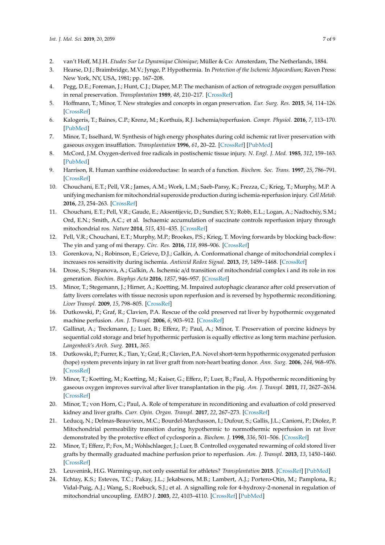- <span id="page-6-0"></span>2. van't Hoff, M.J.H. *Etudes Sur La Dynamique Chimique*; Müller & Co: Amsterdam, The Netherlands, 1884.
- <span id="page-6-1"></span>3. Hearse, D.J.; Braimbridge, M.V.; Jynge, P. Hypothermia. In *Protection of the Ischemic Myocardium*; Raven Press: New York, NY, USA, 1981; pp. 167–208.
- <span id="page-6-2"></span>4. Pegg, D.E.; Foreman, J.; Hunt, C.J.; Diaper, M.P. The mechanism of action of retrograde oxygen persufflation in renal preservation. *Transplantation* **1989**, *48*, 210–217. [\[CrossRef\]](http://dx.doi.org/10.1097/00007890-198908000-00006)
- <span id="page-6-3"></span>5. Hoffmann, T.; Minor, T. New strategies and concepts in organ preservation. *Eur. Surg. Res.* **2015**, *54*, 114–126. [\[CrossRef\]](http://dx.doi.org/10.1159/000369455)
- <span id="page-6-4"></span>6. Kalogeris, T.; Baines, C.P.; Krenz, M.; Korthuis, R.J. Ischemia/reperfusion. *Compr. Physiol.* **2016**, *7*, 113–170. [\[PubMed\]](http://www.ncbi.nlm.nih.gov/pubmed/28135002)
- <span id="page-6-5"></span>7. Minor, T.; Isselhard, W. Synthesis of high energy phosphates during cold ischemic rat liver preservation with gaseous oxygen insufflation. *Transplantation* **1996**, *61*, 20–22. [\[CrossRef\]](http://dx.doi.org/10.1097/00007890-199601150-00005) [\[PubMed\]](http://www.ncbi.nlm.nih.gov/pubmed/8560566)
- <span id="page-6-6"></span>8. McCord, J.M. Oxygen-derived free radicals in postischemic tissue injury. *N. Engl. J. Med.* **1985**, *312*, 159–163. [\[PubMed\]](http://www.ncbi.nlm.nih.gov/pubmed/2981404)
- <span id="page-6-7"></span>9. Harrison, R. Human xanthine oxidoreductase: In search of a function. *Biochem. Soc. Trans.* **1997**, *25*, 786–791. [\[CrossRef\]](http://dx.doi.org/10.1042/bst0250786)
- <span id="page-6-8"></span>10. Chouchani, E.T.; Pell, V.R.; James, A.M.; Work, L.M.; Saeb-Parsy, K.; Frezza, C.; Krieg, T.; Murphy, M.P. A unifying mechanism for mitochondrial superoxide production during ischemia-reperfusion injury. *Cell Metab.* **2016**, *23*, 254–263. [\[CrossRef\]](http://dx.doi.org/10.1016/j.cmet.2015.12.009)
- <span id="page-6-9"></span>11. Chouchani, E.T.; Pell, V.R.; Gaude, E.; Aksentijevic, D.; Sundier, S.Y.; Robb, E.L.; Logan, A.; Nadtochiy, S.M.; Ord, E.N.; Smith, A.C.; et al. Ischaemic accumulation of succinate controls reperfusion injury through mitochondrial ros. *Nature* **2014**, *515*, 431–435. [\[CrossRef\]](http://dx.doi.org/10.1038/nature13909)
- <span id="page-6-10"></span>12. Pell, V.R.; Chouchani, E.T.; Murphy, M.P.; Brookes, P.S.; Krieg, T. Moving forwards by blocking back-flow: The yin and yang of mi therapy. *Circ. Res.* **2016**, *118*, 898–906. [\[CrossRef\]](http://dx.doi.org/10.1161/CIRCRESAHA.115.306569)
- <span id="page-6-11"></span>13. Gorenkova, N.; Robinson, E.; Grieve, D.J.; Galkin, A. Conformational change of mitochondrial complex i increases ros sensitivity during ischemia. *Antioxid Redox Signal.* **2013**, *19*, 1459–1468. [\[CrossRef\]](http://dx.doi.org/10.1089/ars.2012.4698)
- <span id="page-6-12"></span>14. Drose, S.; Stepanova, A.; Galkin, A. Ischemic a/d transition of mitochondrial complex i and its role in ros generation. *Biochim. Biophys Acta* **2016**, *1857*, 946–957. [\[CrossRef\]](http://dx.doi.org/10.1016/j.bbabio.2015.12.013)
- <span id="page-6-13"></span>15. Minor, T.; Stegemann, J.; Hirner, A.; Koetting, M. Impaired autophagic clearance after cold preservation of fatty livers correlates with tissue necrosis upon reperfusion and is reversed by hypothermic reconditioning. *Liver Transpl.* **2009**, *15*, 798–805. [\[CrossRef\]](http://dx.doi.org/10.1002/lt.21751)
- <span id="page-6-14"></span>16. Dutkowski, P.; Graf, R.; Clavien, P.A. Rescue of the cold preserved rat liver by hypothermic oxygenated machine perfusion. *Am. J. Transpl.* **2006**, *6*, 903–912. [\[CrossRef\]](http://dx.doi.org/10.1111/j.1600-6143.2006.01264.x)
- <span id="page-6-15"></span>17. Gallinat, A.; Treckmann, J.; Luer, B.; Efferz, P.; Paul, A.; Minor, T. Preservation of porcine kidneys by sequential cold storage and brief hypothermic perfusion is equally effective as long term machine perfusion. *Langenbeck's Arch. Surg.* **2011**, *365*.
- 18. Dutkowski, P.; Furrer, K.; Tian, Y.; Graf, R.; Clavien, P.A. Novel short-term hypothermic oxygenated perfusion (hope) system prevents injury in rat liver graft from non-heart beating donor. *Ann. Surg.* **2006**, *244*, 968–976. [\[CrossRef\]](http://dx.doi.org/10.1097/01.sla.0000247056.85590.6b)
- <span id="page-6-16"></span>19. Minor, T.; Koetting, M.; Koetting, M.; Kaiser, G.; Efferz, P.; Luer, B.; Paul, A. Hypothermic reconditioning by gaseous oxygen improves survival after liver transplantation in the pig. *Am. J. Transpl.* **2011**, *11*, 2627–2634. [\[CrossRef\]](http://dx.doi.org/10.1111/j.1600-6143.2011.03731.x)
- <span id="page-6-17"></span>20. Minor, T.; von Horn, C.; Paul, A. Role of temperature in reconditioning and evaluation of cold preserved kidney and liver grafts. *Curr. Opin. Organ. Transpl.* **2017**, *22*, 267–273. [\[CrossRef\]](http://dx.doi.org/10.1097/MOT.0000000000000402)
- <span id="page-6-18"></span>21. Leducq, N.; Delmas-Beauvieux, M.C.; Bourdel-Marchasson, I.; Dufour, S.; Gallis, J.L.; Canioni, P.; Diolez, P. Mitochondrial permeability transition during hypothermic to normothermic reperfusion in rat liver demonstrated by the protective effect of cyclosporin a. *Biochem. J.* **1998**, *336*, 501–506. [\[CrossRef\]](http://dx.doi.org/10.1042/bj3360501)
- <span id="page-6-19"></span>22. Minor, T.; Efferz, P.; Fox, M.; Wohlschlaeger, J.; Luer, B. Controlled oxygenated rewarming of cold stored liver grafts by thermally graduated machine perfusion prior to reperfusion. *Am. J. Transpl.* **2013**, *13*, 1450–1460. [\[CrossRef\]](http://dx.doi.org/10.1111/ajt.12235)
- <span id="page-6-20"></span>23. Leuvenink, H.G. Warming-up, not only essential for athletes? *Transplantation* **2015**. [\[CrossRef\]](http://dx.doi.org/10.1097/TP.0000000000000952) [\[PubMed\]](http://www.ncbi.nlm.nih.gov/pubmed/26479284)
- <span id="page-6-21"></span>24. Echtay, K.S.; Esteves, T.C.; Pakay, J.L.; Jekabsons, M.B.; Lambert, A.J.; Portero-Otin, M.; Pamplona, R.; Vidal-Puig, A.J.; Wang, S.; Roebuck, S.J.; et al. A signalling role for 4-hydroxy-2-nonenal in regulation of mitochondrial uncoupling. *EMBO J.* **2003**, *22*, 4103–4110. [\[CrossRef\]](http://dx.doi.org/10.1093/emboj/cdg412) [\[PubMed\]](http://www.ncbi.nlm.nih.gov/pubmed/12912909)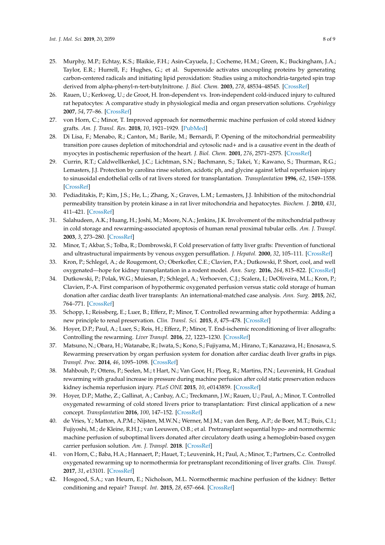- <span id="page-7-0"></span>25. Murphy, M.P.; Echtay, K.S.; Blaikie, F.H.; Asin-Cayuela, J.; Cocheme, H.M.; Green, K.; Buckingham, J.A.; Taylor, E.R.; Hurrell, F.; Hughes, G.; et al. Superoxide activates uncoupling proteins by generating carbon-centered radicals and initiating lipid peroxidation: Studies using a mitochondria-targeted spin trap derived from alpha-phenyl-n-tert-butylnitrone. *J. Biol. Chem.* **2003**, *278*, 48534–48545. [\[CrossRef\]](http://dx.doi.org/10.1074/jbc.M308529200)
- <span id="page-7-1"></span>26. Rauen, U.; Kerkweg, U.; de Groot, H. Iron-dependent vs. Iron-independent cold-induced injury to cultured rat hepatocytes: A comparative study in physiological media and organ preservation solutions. *Cryobiology* **2007**, *54*, 77–86. [\[CrossRef\]](http://dx.doi.org/10.1016/j.cryobiol.2006.11.008)
- <span id="page-7-2"></span>27. von Horn, C.; Minor, T. Improved approach for normothermic machine perfusion of cold stored kidney grafts. *Am. J. Transl. Res.* **2018**, *10*, 1921–1929. [\[PubMed\]](http://www.ncbi.nlm.nih.gov/pubmed/30018731)
- <span id="page-7-3"></span>28. Di Lisa, F.; Menabo, R.; Canton, M.; Barile, M.; Bernardi, P. Opening of the mitochondrial permeability transition pore causes depletion of mitochondrial and cytosolic nad+ and is a causative event in the death of myocytes in postischemic reperfusion of the heart. *J. Biol. Chem.* **2001**, *276*, 2571–2575. [\[CrossRef\]](http://dx.doi.org/10.1074/jbc.M006825200)
- <span id="page-7-4"></span>29. Currin, R.T.; Caldwellkenkel, J.C.; Lichtman, S.N.; Bachmann, S.; Takei, Y.; Kawano, S.; Thurman, R.G.; Lemasters, J.J. Protection by carolina rinse solution, acidotic ph, and glycine against lethal reperfusion injury to sinusoidal endothelial cells of rat livers stored for transplantation. *Transplantation* **1996**, *62*, 1549–1558. [\[CrossRef\]](http://dx.doi.org/10.1097/00007890-199612150-00004)
- <span id="page-7-5"></span>30. Pediaditakis, P.; Kim, J.S.; He, L.; Zhang, X.; Graves, L.M.; Lemasters, J.J. Inhibition of the mitochondrial permeability transition by protein kinase a in rat liver mitochondria and hepatocytes. *Biochem. J.* **2010**, *431*, 411–421. [\[CrossRef\]](http://dx.doi.org/10.1042/BJ20091741)
- <span id="page-7-6"></span>31. Salahudeen, A.K.; Huang, H.; Joshi, M.; Moore, N.A.; Jenkins, J.K. Involvement of the mitochondrial pathway in cold storage and rewarming-associated apoptosis of human renal proximal tubular cells. *Am. J. Transpl.* **2003**, *3*, 273–280. [\[CrossRef\]](http://dx.doi.org/10.1034/j.1600-6143.2003.00042.x)
- <span id="page-7-7"></span>32. Minor, T.; Akbar, S.; Tolba, R.; Dombrowski, F. Cold preservation of fatty liver grafts: Prevention of functional and ultrastructural impairments by venous oxygen persufflation. *J. Hepatol.* **2000**, *32*, 105–111. [\[CrossRef\]](http://dx.doi.org/10.1016/S0168-8278(00)80196-8)
- 33. Kron, P.; Schlegel, A.; de Rougemont, O.; Oberkofler, C.E.; Clavien, P.A.; Dutkowski, P. Short, cool, and well oxygenated—hope for kidney transplantation in a rodent model. *Ann. Surg.* **2016**, *264*, 815–822. [\[CrossRef\]](http://dx.doi.org/10.1097/SLA.0000000000001766)
- <span id="page-7-8"></span>34. Dutkowski, P.; Polak, W.G.; Muiesan, P.; Schlegel, A.; Verhoeven, C.J.; Scalera, I.; DeOliveira, M.L.; Kron, P.; Clavien, P.-A. First comparison of hypothermic oxygenated perfusion versus static cold storage of human donation after cardiac death liver transplants: An international-matched case analysis. *Ann. Surg.* **2015**, *262*, 764–771. [\[CrossRef\]](http://dx.doi.org/10.1097/SLA.0000000000001473)
- <span id="page-7-9"></span>35. Schopp, I.; Reissberg, E.; Luer, B.; Efferz, P.; Minor, T. Controlled rewarming after hypothermia: Adding a new principle to renal preservation. *Clin. Transl. Sci.* **2015**, *8*, 475–478. [\[CrossRef\]](http://dx.doi.org/10.1111/cts.12295)
- <span id="page-7-10"></span>36. Hoyer, D.P.; Paul, A.; Luer, S.; Reis, H.; Efferz, P.; Minor, T. End-ischemic reconditioning of liver allografts: Controlling the rewarming. *Liver Transpl.* **2016**, *22*, 1223–1230. [\[CrossRef\]](http://dx.doi.org/10.1002/lt.24515)
- <span id="page-7-11"></span>37. Matsuno, N.; Obara, H.; Watanabe, R.; Iwata, S.; Kono, S.; Fujiyama, M.; Hirano, T.; Kanazawa, H.; Enosawa, S. Rewarming preservation by organ perfusion system for donation after cardiac death liver grafts in pigs. *Transpl. Proc.* **2014**, *46*, 1095–1098. [\[CrossRef\]](http://dx.doi.org/10.1016/j.transproceed.2013.12.035)
- <span id="page-7-12"></span>38. Mahboub, P.; Ottens, P.; Seelen, M.; t Hart, N.; Van Goor, H.; Ploeg, R.; Martins, P.N.; Leuvenink, H. Gradual rewarming with gradual increase in pressure during machine perfusion after cold static preservation reduces kidney ischemia reperfusion injury. *PLoS ONE* **2015**, *10*, e0143859. [\[CrossRef\]](http://dx.doi.org/10.1371/journal.pone.0143859)
- <span id="page-7-13"></span>39. Hoyer, D.P.; Mathe, Z.; Gallinat, A.; Canbay, A.C.; Treckmann, J.W.; Rauen, U.; Paul, A.; Minor, T. Controlled oxygenated rewarming of cold stored livers prior to transplantation: First clinical application of a new concept. *Transplantation* **2016**, *100*, 147–152. [\[CrossRef\]](http://dx.doi.org/10.1097/TP.0000000000000915)
- <span id="page-7-14"></span>40. de Vries, Y.; Matton, A.P.M.; Nijsten, M.W.N.; Werner, M.J.M.; van den Berg, A.P.; de Boer, M.T.; Buis, C.I.; Fujiyoshi, M.; de Kleine, R.H.J.; van Leeuwen, O.B.; et al. Pretransplant sequential hypo- and normothermic machine perfusion of suboptimal livers donated after circulatory death using a hemoglobin-based oxygen carrier perfusion solution. *Am. J. Transpl.* **2018**. [\[CrossRef\]](http://dx.doi.org/10.1111/ajt.15228)
- <span id="page-7-15"></span>41. von Horn, C.; Baba, H.A.; Hannaert, P.; Hauet, T.; Leuvenink, H.; Paul, A.; Minor, T.; Partners, C.c. Controlled oxygenated rewarming up to normothermia for pretransplant reconditioning of liver grafts. *Clin. Transpl.* **2017**, *31*, e13101. [\[CrossRef\]](http://dx.doi.org/10.1111/ctr.13101)
- <span id="page-7-16"></span>42. Hosgood, S.A.; van Heurn, E.; Nicholson, M.L. Normothermic machine perfusion of the kidney: Better conditioning and repair? *Transpl. Int.* **2015**, *28*, 657–664. [\[CrossRef\]](http://dx.doi.org/10.1111/tri.12319)